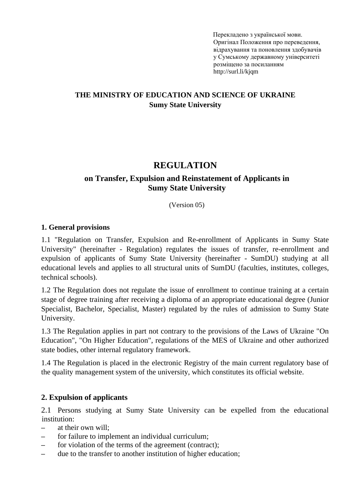Перекладено з української мови. Оригінал [Положення про переведення,](http://normative.sumdu.edu.ua/?task=getfile&tmpl=component&id=fe3a1f9e-9c36-e911-9278-001a4be6d04a&kind=1)  [відрахування та поновлення здобувачів](http://normative.sumdu.edu.ua/?task=getfile&tmpl=component&id=fe3a1f9e-9c36-e911-9278-001a4be6d04a&kind=1)  [у Сумському](http://normative.sumdu.edu.ua/?task=getfile&tmpl=component&id=fe3a1f9e-9c36-e911-9278-001a4be6d04a&kind=1) державному університеті розміщено за посиланням http://surl.li/kjqm

## **THE MINISTRY OF EDUCATION AND SCIENCE OF UKRAINE Sumy State University**

# **REGULATION**

## **on Transfer, Expulsion and Reinstatement of Applicants in Sumy State University**

(Version 05)

#### **1. General provisions**

1.1 "Regulation on Transfer, Expulsion and Re-enrollment of Applicants in Sumy State University" (hereinafter - Regulation) regulates the issues of transfer, re-enrollment and expulsion of applicants of Sumy State University (hereinafter - SumDU) studying at all educational levels and applies to all structural units of SumDU (faculties, institutes, colleges, technical schools).

1.2 The Regulation does not regulate the issue of enrollment to continue training at a certain stage of degree training after receiving a diploma of an appropriate educational degree (Junior Specialist, Bachelor, Specialist, Master) regulated by the rules of admission to Sumy State University.

1.3 The Regulation applies in part not contrary to the provisions of the Laws of Ukraine "On Education", "On Higher Education", regulations of the MES of Ukraine and other authorized state bodies, other internal regulatory framework.

1.4 The Regulation is placed in the electronic Registry of the main current regulatory base of the quality management system of the university, which constitutes its official website.

#### **2. Expulsion of applicants**

2.1 Persons studying at Sumy State University can be expelled from the educational institution:

- **–** at their own will;
- for failure to implement an individual curriculum;
- **–** for violation of the terms of the agreement (contract);
- **–** due to the transfer to another institution of higher education;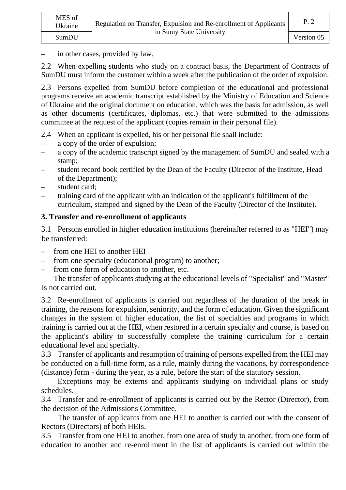**–** in other cases, provided by law.

2.2 When expelling students who study on a contract basis, the Department of Contracts of SumDU must inform the customer within a week after the publication of the order of expulsion.

2.3 Persons expelled from SumDU before completion of the educational and professional programs receive an academic transcript established by the Ministry of Education and Science of Ukraine and the original document on education, which was the basis for admission, as well as other documents (certificates, diplomas, etc.) that were submitted to the admissions committee at the request of the applicant (copies remain in their personal file).

- 2.4 When an applicant is expelled, his or her personal file shall include:
- **–** a copy of the order of expulsion;
- **–** a copy of the academic transcript signed by the management of SumDU and sealed with a stamp;
- **–** student record book certified by the Dean of the Faculty (Director of the Institute, Head of the Department);
- **–** student card;
- **–** training card of the applicant with an indication of the applicant's fulfillment of the curriculum, stamped and signed by the Dean of the Faculty (Director of the Institute).

# **3. Transfer and re-enrollment of applicants**

3.1 Persons enrolled in higher education institutions (hereinafter referred to as "HEI") may be transferred:

- **–** from one HEI to another HEI
- **–** from one specialty (educational program) to another;
- from one form of education to another, etc.

The transfer of applicants studying at the educational levels of "Specialist" and "Master" is not carried out.

3.2 Re-enrollment of applicants is carried out regardless of the duration of the break in training, the reasons for expulsion, seniority, and the form of education. Given the significant changes in the system of higher education, the list of specialties and programs in which training is carried out at the HEI, when restored in a certain specialty and course, is based on the applicant's ability to successfully complete the training curriculum for a certain educational level and specialty.

3.3 Transfer of applicants and resumption of training of persons expelled from the HEI may be conducted on a full-time form, as a rule, mainly during the vacations, by correspondence (distance) form - during the year, as a rule, before the start of the statutory session.

Exceptions may be externs and applicants studying on individual plans or study schedules.

3.4 Transfer and re-enrollment of applicants is carried out by the Rector (Director), from the decision of the Admissions Committee.

The transfer of applicants from one HEI to another is carried out with the consent of Rectors (Directors) of both HEIs.

3.5 Transfer from one HEI to another, from one area of study to another, from one form of education to another and re-enrollment in the list of applicants is carried out within the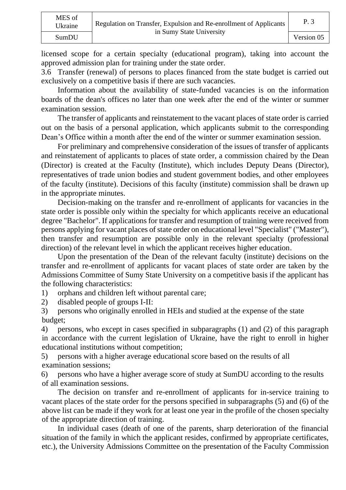licensed scope for a certain specialty (educational program), taking into account the approved admission plan for training under the state order.

3.6 Transfer (renewal) of persons to places financed from the state budget is carried out exclusively on a competitive basis if there are such vacancies.

Information about the availability of state-funded vacancies is on the information boards of the dean's offices no later than one week after the end of the winter or summer examination session.

The transfer of applicants and reinstatement to the vacant places of state order is carried out on the basis of a personal application, which applicants submit to the corresponding Dean's Office within a month after the end of the winter or summer examination session.

For preliminary and comprehensive consideration of the issues of transfer of applicants and reinstatement of applicants to places of state order, a commission chaired by the Dean (Director) is created at the Faculty (Institute), which includes Deputy Deans (Director), representatives of trade union bodies and student government bodies, and other employees of the faculty (institute). Decisions of this faculty (institute) commission shall be drawn up in the appropriate minutes.

Decision-making on the transfer and re-enrollment of applicants for vacancies in the state order is possible only within the specialty for which applicants receive an educational degree "Bachelor". If applications for transfer and resumption of training were received from persons applying for vacant places of state order on educational level "Specialist" ("Master"), then transfer and resumption are possible only in the relevant specialty (professional direction) of the relevant level in which the applicant receives higher education.

Upon the presentation of the Dean of the relevant faculty (institute) decisions on the transfer and re-enrollment of applicants for vacant places of state order are taken by the Admissions Committee of Sumy State University on a competitive basis if the applicant has the following characteristics:

1) orphans and children left without parental care;

2) disabled people of groups I-II:

3) persons who originally enrolled in HEIs and studied at the expense of the state budget;

4) persons, who except in cases specified in subparagraphs (1) and (2) of this paragraph in accordance with the current legislation of Ukraine, have the right to enroll in higher educational institutions without competition;

5) persons with a higher average educational score based on the results of all examination sessions;

6) persons who have a higher average score of study at SumDU according to the results of all examination sessions.

The decision on transfer and re-enrollment of applicants for in-service training to vacant places of the state order for the persons specified in subparagraphs (5) and (6) of the above list can be made if they work for at least one year in the profile of the chosen specialty of the appropriate direction of training.

In individual cases (death of one of the parents, sharp deterioration of the financial situation of the family in which the applicant resides, confirmed by appropriate certificates, etc.), the University Admissions Committee on the presentation of the Faculty Commission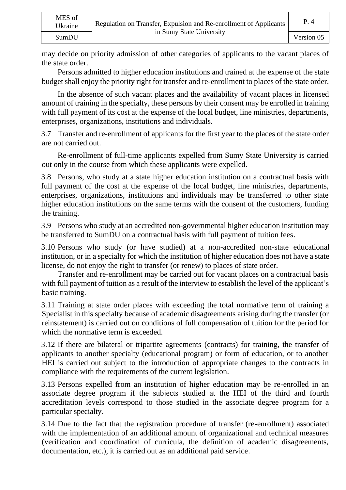may decide on priority admission of other categories of applicants to the vacant places of the state order.

Persons admitted to higher education institutions and trained at the expense of the state budget shall enjoy the priority right for transfer and re-enrollment to places of the state order.

In the absence of such vacant places and the availability of vacant places in licensed amount of training in the specialty, these persons by their consent may be enrolled in training with full payment of its cost at the expense of the local budget, line ministries, departments, enterprises, organizations, institutions and individuals.

3.7 Transfer and re-enrollment of applicants for the first year to the places of the state order are not carried out.

Re-enrollment of full-time applicants expelled from Sumy State University is carried out only in the course from which these applicants were expelled.

3.8 Persons, who study at a state higher education institution on a contractual basis with full payment of the cost at the expense of the local budget, line ministries, departments, enterprises, organizations, institutions and individuals may be transferred to other state higher education institutions on the same terms with the consent of the customers, funding the training.

3.9 Persons who study at an accredited non-governmental higher education institution may be transferred to SumDU on a contractual basis with full payment of tuition fees.

3.10 Persons who study (or have studied) at a non-accredited non-state educational institution, or in a specialty for which the institution of higher education does not have a state license, do not enjoy the right to transfer (or renew) to places of state order.

Transfer and re-enrollment may be carried out for vacant places on a contractual basis with full payment of tuition as a result of the interview to establish the level of the applicant's basic training.

3.11 Training at state order places with exceeding the total normative term of training a Specialist in this specialty because of academic disagreements arising during the transfer (or reinstatement) is carried out on conditions of full compensation of tuition for the period for which the normative term is exceeded.

3.12 If there are bilateral or tripartite agreements (contracts) for training, the transfer of applicants to another specialty (educational program) or form of education, or to another HEI is carried out subject to the introduction of appropriate changes to the contracts in compliance with the requirements of the current legislation.

3.13 Persons expelled from an institution of higher education may be re-enrolled in an associate degree program if the subjects studied at the HEI of the third and fourth accreditation levels correspond to those studied in the associate degree program for a particular specialty.

3.14 Due to the fact that the registration procedure of transfer (re-enrollment) associated with the implementation of an additional amount of organizational and technical measures (verification and coordination of curricula, the definition of academic disagreements, documentation, etc.), it is carried out as an additional paid service.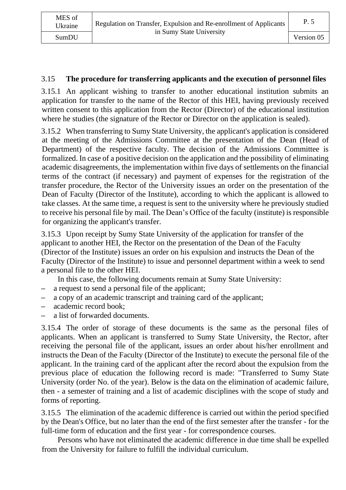## 3.15 **The procedure for transferring applicants and the execution of personnel files**

3.15.1 An applicant wishing to transfer to another educational institution submits an application for transfer to the name of the Rector of this HEI, having previously received written consent to this application from the Rector (Director) of the educational institution where he studies (the signature of the Rector or Director on the application is sealed).

3.15.2 When transferring to Sumy State University, the applicant's application is considered at the meeting of the Admissions Committee at the presentation of the Dean (Head of Department) of the respective faculty. The decision of the Admissions Committee is formalized. In case of a positive decision on the application and the possibility of eliminating academic disagreements, the implementation within five days of settlements on the financial terms of the contract (if necessary) and payment of expenses for the registration of the transfer procedure, the Rector of the University issues an order on the presentation of the Dean of Faculty (Director of the Institute), according to which the applicant is allowed to take classes. At the same time, a request is sent to the university where he previously studied to receive his personal file by mail. The Dean's Office of the faculty (institute) is responsible for organizing the applicant's transfer.

3.15.3 Upon receipt by Sumy State University of the application for transfer of the applicant to another HEI, the Rector on the presentation of the Dean of the Faculty (Director of the Institute) issues an order on his expulsion and instructs the Dean of the Faculty (Director of the Institute) to issue and personnel department within a week to send a personal file to the other HEI.

In this case, the following documents remain at Sumy State University:

- **–** a request to send a personal file of the applicant;
- **–** a copy of an academic transcript and training card of the applicant;
- **–** academic record book;
- **–** a list of forwarded documents.

3.15.4 The order of storage of these documents is the same as the personal files of applicants. When an applicant is transferred to Sumy State University, the Rector, after receiving the personal file of the applicant, issues an order about his/her enrollment and instructs the Dean of the Faculty (Director of the Institute) to execute the personal file of the applicant. In the training card of the applicant after the record about the expulsion from the previous place of education the following record is made: "Transferred to Sumy State University (order No. of the year). Below is the data on the elimination of academic failure, then - a semester of training and a list of academic disciplines with the scope of study and forms of reporting.

3.15.5 The elimination of the academic difference is carried out within the period specified by the Dean's Office, but no later than the end of the first semester after the transfer - for the full-time form of education and the first year - for correspondence courses.

Persons who have not eliminated the academic difference in due time shall be expelled from the University for failure to fulfill the individual curriculum.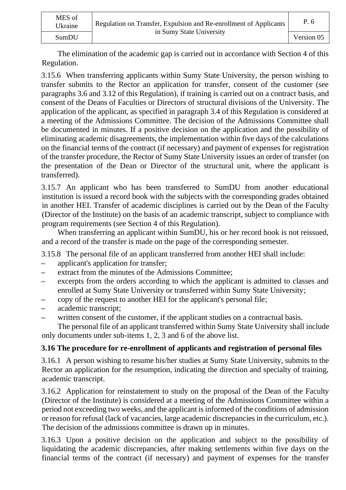| MES of<br>Ukraine | Regulation on Transfer, Expulsion and Re-enrollment of Applicants<br>in Sumy State University | P. 6       |
|-------------------|-----------------------------------------------------------------------------------------------|------------|
| SumDU             |                                                                                               | Version 05 |

The elimination of the academic gap is carried out in accordance with Section 4 of this Regulation.

3.15.6 When transferring applicants within Sumy State University, the person wishing to transfer submits to the Rector an application for transfer, consent of the customer (see paragraphs 3.6 and 3.12 of this Regulation), if training is carried out on a contract basis, and consent of the Deans of Faculties or Directors of structural divisions of the University. The application of the applicant, as specified in paragraph 3.4 of this Regulation is considered at a meeting of the Admissions Committee. The decision of the Admissions Committee shall be documented in minutes. If a positive decision on the application and the possibility of eliminating academic disagreements, the implementation within five days of the calculations on the financial terms of the contract (if necessary) and payment of expenses for registration of the transfer procedure, the Rector of Sumy State University issues an order of transfer (on the presentation of the Dean or Director of the structural unit, where the applicant is transferred).

3.15.7 An applicant who has been transferred to SumDU from another educational institution is issued a record book with the subjects with the corresponding grades obtained in another HEI. Transfer of academic disciplines is carried out by the Dean of the Faculty (Director of the Institute) on the basis of an academic transcript, subject to compliance with program requirements (see Section 4 of this Regulation).

When transferring an applicant within SumDU, his or her record book is not reissued, and a record of the transfer is made on the page of the corresponding semester.

3.15.8 The personal file of an applicant transferred from another HEI shall include:

- **–** applicant's application for transfer;
- **–** extract from the minutes of the Admissions Committee;
- **–** excerpts from the orders according to which the applicant is admitted to classes and enrolled at Sumy State University or transferred within Sumy State University;
- **–** copy of the request to another HEI for the applicant's personal file;
- **–** academic transcript;
- **–** written consent of the customer, if the applicant studies on a contractual basis.

The personal file of an applicant transferred within Sumy State University shall include only documents under sub-items 1, 2, 3 and 6 of the above list.

### **3.16 The procedure for re-enrollment of applicants and registration of personal files**

3.16.1 A person wishing to resume his/her studies at Sumy State University, submits to the Rector an application for the resumption, indicating the direction and specialty of training, academic transcript.

3.16.2 Application for reinstatement to study on the proposal of the Dean of the Faculty (Director of the Institute) is considered at a meeting of the Admissions Committee within a period not exceeding two weeks, and the applicant is informed of the conditions of admission or reason for refusal (lack of vacancies, large academic discrepancies in the curriculum, etc.). The decision of the admissions committee is drawn up in minutes.

3.16.3 Upon a positive decision on the application and subject to the possibility of liquidating the academic discrepancies, after making settlements within five days on the financial terms of the contract (if necessary) and payment of expenses for the transfer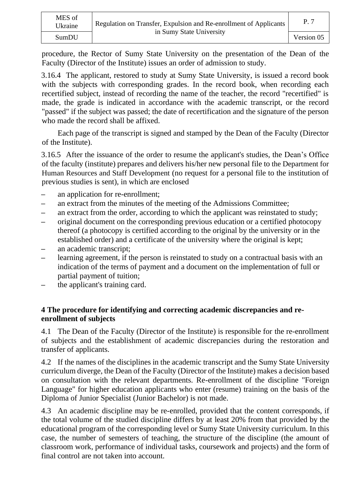| MES of<br>Ukraine | Regulation on Transfer, Expulsion and Re-enrollment of Applicants<br>in Sumy State University | P. 7       |
|-------------------|-----------------------------------------------------------------------------------------------|------------|
| SumDU             |                                                                                               | Version 05 |

procedure, the Rector of Sumy State University on the presentation of the Dean of the Faculty (Director of the Institute) issues an order of admission to study.

3.16.4 The applicant, restored to study at Sumy State University, is issued a record book with the subjects with corresponding grades. In the record book, when recording each recertified subject, instead of recording the name of the teacher, the record "recertified" is made, the grade is indicated in accordance with the academic transcript, or the record "passed" if the subject was passed; the date of recertification and the signature of the person who made the record shall be affixed.

Each page of the transcript is signed and stamped by the Dean of the Faculty (Director of the Institute).

3.16.5 After the issuance of the order to resume the applicant's studies, the Dean's Office of the faculty (institute) prepares and delivers his/her new personal file to the Department for Human Resources and Staff Development (no request for a personal file to the institution of previous studies is sent), in which are enclosed

- **–** an application for re-enrollment;
- **–** an extract from the minutes of the meeting of the Admissions Committee;
- **–** an extract from the order, according to which the applicant was reinstated to study;
- **–** original document on the corresponding previous education or a certified photocopy thereof (a photocopy is certified according to the original by the university or in the established order) and a certificate of the university where the original is kept;
- **–** an academic transcript;
- **–** learning agreement, if the person is reinstated to study on a contractual basis with an indication of the terms of payment and a document on the implementation of full or partial payment of tuition;
- **–** the applicant's training card.

### **4 The procedure for identifying and correcting academic discrepancies and reenrollment of subjects**

4.1 The Dean of the Faculty (Director of the Institute) is responsible for the re-enrollment of subjects and the establishment of academic discrepancies during the restoration and transfer of applicants.

4.2 If the names of the disciplines in the academic transcript and the Sumy State University curriculum diverge, the Dean of the Faculty (Director of the Institute) makes a decision based on consultation with the relevant departments. Re-enrollment of the discipline "Foreign Language" for higher education applicants who enter (resume) training on the basis of the Diploma of Junior Specialist (Junior Bachelor) is not made.

4.3 An academic discipline may be re-enrolled, provided that the content corresponds, if the total volume of the studied discipline differs by at least 20% from that provided by the educational program of the corresponding level or Sumy State University curriculum. In this case, the number of semesters of teaching, the structure of the discipline (the amount of classroom work, performance of individual tasks, coursework and projects) and the form of final control are not taken into account.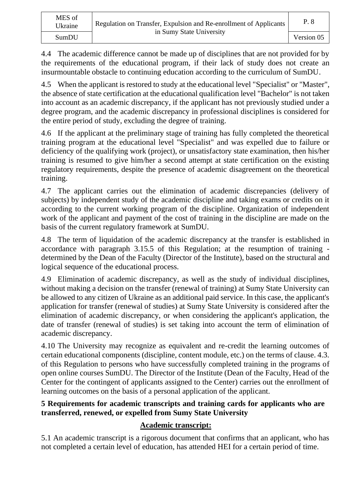4.4 The academic difference cannot be made up of disciplines that are not provided for by the requirements of the educational program, if their lack of study does not create an insurmountable obstacle to continuing education according to the curriculum of SumDU.

4.5 When the applicant is restored to study at the educational level "Specialist" or "Master", the absence of state certification at the educational qualification level "Bachelor" is not taken into account as an academic discrepancy, if the applicant has not previously studied under a degree program, and the academic discrepancy in professional disciplines is considered for the entire period of study, excluding the degree of training.

4.6 If the applicant at the preliminary stage of training has fully completed the theoretical training program at the educational level "Specialist" and was expelled due to failure or deficiency of the qualifying work (project), or unsatisfactory state examination, then his/her training is resumed to give him/her a second attempt at state certification on the existing regulatory requirements, despite the presence of academic disagreement on the theoretical training.

4.7 The applicant carries out the elimination of academic discrepancies (delivery of subjects) by independent study of the academic discipline and taking exams or credits on it according to the current working program of the discipline. Organization of independent work of the applicant and payment of the cost of training in the discipline are made on the basis of the current regulatory framework at SumDU.

4.8 The term of liquidation of the academic discrepancy at the transfer is established in accordance with paragraph 3.15.5 of this Regulation; at the resumption of training determined by the Dean of the Faculty (Director of the Institute), based on the structural and logical sequence of the educational process.

4.9 Elimination of academic discrepancy, as well as the study of individual disciplines, without making a decision on the transfer (renewal of training) at Sumy State University can be allowed to any citizen of Ukraine as an additional paid service. In this case, the applicant's application for transfer (renewal of studies) at Sumy State University is considered after the elimination of academic discrepancy, or when considering the applicant's application, the date of transfer (renewal of studies) is set taking into account the term of elimination of academic discrepancy.

4.10 The University may recognize as equivalent and re-credit the learning outcomes of certain educational components (discipline, content module, etc.) on the terms of clause. 4.3. of this Regulation to persons who have successfully completed training in the programs of open online courses SumDU. The Director of the Institute (Dean of the Faculty, Head of the Center for the contingent of applicants assigned to the Center) carries out the enrollment of learning outcomes on the basis of a personal application of the applicant.

# **5 Requirements for academic transcripts and training cards for applicants who are transferred, renewed, or expelled from Sumy State University**

# **Academic transcript:**

5.1 An academic transcript is a rigorous document that confirms that an applicant, who has not completed a certain level of education, has attended HEI for a certain period of time.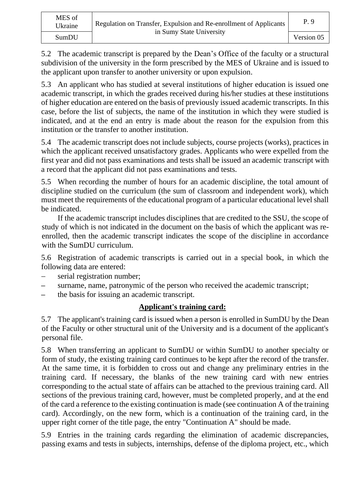5.2 The academic transcript is prepared by the Dean's Office of the faculty or a structural subdivision of the university in the form prescribed by the MES of Ukraine and is issued to the applicant upon transfer to another university or upon expulsion.

5.3 An applicant who has studied at several institutions of higher education is issued one academic transcript, in which the grades received during his/her studies at these institutions of higher education are entered on the basis of previously issued academic transcripts. In this case, before the list of subjects, the name of the institution in which they were studied is indicated, and at the end an entry is made about the reason for the expulsion from this institution or the transfer to another institution.

5.4 The academic transcript does not include subjects, course projects (works), practices in which the applicant received unsatisfactory grades. Applicants who were expelled from the first year and did not pass examinations and tests shall be issued an academic transcript with a record that the applicant did not pass examinations and tests.

5.5 When recording the number of hours for an academic discipline, the total amount of discipline studied on the curriculum (the sum of classroom and independent work), which must meet the requirements of the educational program of a particular educational level shall be indicated.

If the academic transcript includes disciplines that are credited to the SSU, the scope of study of which is not indicated in the document on the basis of which the applicant was reenrolled, then the academic transcript indicates the scope of the discipline in accordance with the SumDU curriculum.

5.6 Registration of academic transcripts is carried out in a special book, in which the following data are entered:

- − serial registration number;
- **–** surname, name, patronymic of the person who received the academic transcript;
- **–** the basis for issuing an academic transcript.

## **Applicant's training card:**

5.7 The applicant's training card is issued when a person is enrolled in SumDU by the Dean of the Faculty or other structural unit of the University and is a document of the applicant's personal file.

5.8 When transferring an applicant to SumDU or within SumDU to another specialty or form of study, the existing training card continues to be kept after the record of the transfer. At the same time, it is forbidden to cross out and change any preliminary entries in the training card. If necessary, the blanks of the new training card with new entries corresponding to the actual state of affairs can be attached to the previous training card. All sections of the previous training card, however, must be completed properly, and at the end of the card a reference to the existing continuation is made (see continuation A of the training card). Accordingly, on the new form, which is a continuation of the training card, in the upper right corner of the title page, the entry "Continuation A" should be made.

5.9 Entries in the training cards regarding the elimination of academic discrepancies, passing exams and tests in subjects, internships, defense of the diploma project, etc., which